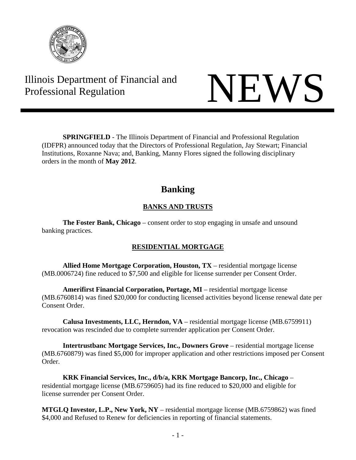

# Illinois Department of Financial and Illinois Department of Financial and<br>Professional Regulation



**SPRINGFIELD** - The Illinois Department of Financial and Professional Regulation (IDFPR) announced today that the Directors of Professional Regulation, Jay Stewart; Financial Institutions, Roxanne Nava; and, Banking, Manny Flores signed the following disciplinary orders in the month of **May 2012**.

# **Banking**

# **BANKS AND TRUSTS**

**The Foster Bank, Chicago** – consent order to stop engaging in unsafe and unsound banking practices.

# **RESIDENTIAL MORTGAGE**

 **Allied Home Mortgage Corporation, Houston, TX** – residential mortgage license (MB.0006724) fine reduced to \$7,500 and eligible for license surrender per Consent Order.

 **Amerifirst Financial Corporation, Portage, MI** – residential mortgage license (MB.6760814) was fined \$20,000 for conducting licensed activities beyond license renewal date per Consent Order.

 **Calusa Investments, LLC, Herndon, VA** – residential mortgage license (MB.6759911) revocation was rescinded due to complete surrender application per Consent Order.

**Intertrustbanc Mortgage Services, Inc., Downers Grove** – residential mortgage license (MB.6760879) was fined \$5,000 for improper application and other restrictions imposed per Consent Order.

**KRK Financial Services, Inc., d/b/a, KRK Mortgage Bancorp, Inc., Chicago** – residential mortgage license (MB.6759605) had its fine reduced to \$20,000 and eligible for license surrender per Consent Order.

**MTGLQ Investor, L.P., New York, NY** – residential mortgage license (MB.6759862) was fined \$4,000 and Refused to Renew for deficiencies in reporting of financial statements.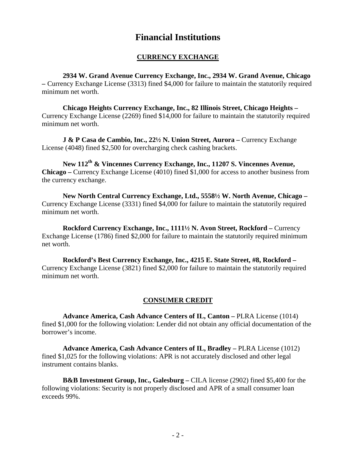# **Financial Institutions**

#### **CURRENCY EXCHANGE**

**2934 W. Grand Avenue Currency Exchange, Inc., 2934 W. Grand Avenue, Chicago –** Currency Exchange License (3313) fined \$4,000 for failure to maintain the statutorily required minimum net worth.

**Chicago Heights Currency Exchange, Inc., 82 Illinois Street, Chicago Heights –**  Currency Exchange License (2269) fined \$14,000 for failure to maintain the statutorily required minimum net worth.

**J & P Casa de Cambio, Inc., 22½ N. Union Street, Aurora – Currency Exchange** License (4048) fined \$2,500 for overcharging check cashing brackets.

 **New 112th & Vincennes Currency Exchange, Inc., 11207 S. Vincennes Avenue, Chicago –** Currency Exchange License (4010) fined \$1,000 for access to another business from the currency exchange.

 **New North Central Currency Exchange, Ltd., 5558½ W. North Avenue, Chicago –**  Currency Exchange License (3331) fined \$4,000 for failure to maintain the statutorily required minimum net worth.

 **Rockford Currency Exchange, Inc., 1111½ N. Avon Street, Rockford – Currency** Exchange License (1786) fined \$2,000 for failure to maintain the statutorily required minimum net worth.

 **Rockford's Best Currency Exchange, Inc., 4215 E. State Street, #8, Rockford –**  Currency Exchange License (3821) fined \$2,000 for failure to maintain the statutorily required minimum net worth.

#### **CONSUMER CREDIT**

 **Advance America, Cash Advance Centers of IL, Canton –** PLRA License (1014) fined \$1,000 for the following violation: Lender did not obtain any official documentation of the borrower's income.

 **Advance America, Cash Advance Centers of IL, Bradley –** PLRA License (1012) fined \$1,025 for the following violations: APR is not accurately disclosed and other legal instrument contains blanks.

 **B&B Investment Group, Inc., Galesburg –** CILA license (2902) fined \$5,400 for the following violations: Security is not properly disclosed and APR of a small consumer loan exceeds 99%.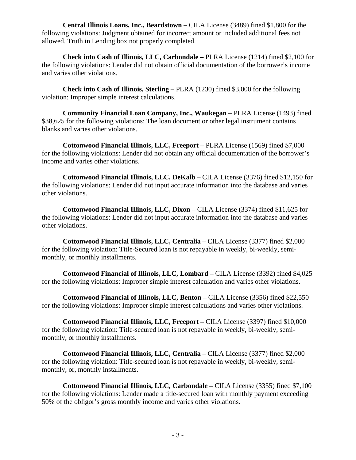**Central Illinois Loans, Inc., Beardstown –** CILA License (3489) fined \$1,800 for the following violations: Judgment obtained for incorrect amount or included additional fees not allowed. Truth in Lending box not properly completed.

 **Check into Cash of Illinois, LLC, Carbondale –** PLRA License (1214) fined \$2,100 for the following violations: Lender did not obtain official documentation of the borrower's income and varies other violations.

 **Check into Cash of Illinois, Sterling –** PLRA (1230) fined \$3,000 for the following violation: Improper simple interest calculations.

**Community Financial Loan Company, Inc., Waukegan – PLRA License (1493) fined** \$38,625 for the following violations: The loan document or other legal instrument contains blanks and varies other violations.

 **Cottonwood Financial Illinois, LLC, Freeport –** PLRA License (1569) fined \$7,000 for the following violations: Lender did not obtain any official documentation of the borrower's income and varies other violations.

 **Cottonwood Financial Illinois, LLC, DeKalb –** CILA License (3376) fined \$12,150 for the following violations: Lender did not input accurate information into the database and varies other violations.

 **Cottonwood Financial Illinois, LLC, Dixon –** CILA License (3374) fined \$11,625 for the following violations: Lender did not input accurate information into the database and varies other violations.

**Cottonwood Financial Illinois, LLC, Centralia – CILA License (3377) fined \$2,000** for the following violation: Title-Secured loan is not repayable in weekly, bi-weekly, semimonthly, or monthly installments.

**Cottonwood Financial of Illinois, LLC, Lombard – CILA License (3392) fined \$4,025** for the following violations: Improper simple interest calculation and varies other violations.

 **Cottonwood Financial of Illinois, LLC, Benton –** CILA License (3356) fined \$22,550 for the following violations: Improper simple interest calculations and varies other violations.

 **Cottonwood Financial Illinois, LLC, Freeport –** CILA License (3397) fined \$10,000 for the following violation: Title-secured loan is not repayable in weekly, bi-weekly, semimonthly, or monthly installments.

 **Cottonwood Financial Illinois, LLC, Centralia** – CILA License (3377) fined \$2,000 for the following violation: Title-secured loan is not repayable in weekly, bi-weekly, semimonthly, or, monthly installments.

 **Cottonwood Financial Illinois, LLC, Carbondale –** CILA License (3355) fined \$7,100 for the following violations: Lender made a title-secured loan with monthly payment exceeding 50% of the obligor's gross monthly income and varies other violations.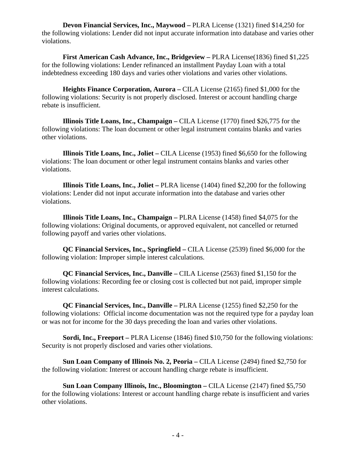**Devon Financial Services, Inc., Maywood –** PLRA License (1321) fined \$14,250 for the following violations: Lender did not input accurate information into database and varies other violations.

**First American Cash Advance, Inc., Bridgeview – PLRA License(1836) fined \$1,225** for the following violations: Lender refinanced an installment Payday Loan with a total indebtedness exceeding 180 days and varies other violations and varies other violations.

**Heights Finance Corporation, Aurora** – CILA License (2165) fined \$1,000 for the following violations: Security is not properly disclosed. Interest or account handling charge rebate is insufficient.

**Illinois Title Loans, Inc., Champaign – CILA License (1770) fined \$26,775 for the** following violations: The loan document or other legal instrument contains blanks and varies other violations.

**Illinois Title Loans, Inc., Joliet – CILA License (1953) fined \$6,650 for the following** violations: The loan document or other legal instrument contains blanks and varies other violations.

 **Illinois Title Loans, Inc., Joliet –** PLRA license (1404) fined \$2,200 for the following violations: Lender did not input accurate information into the database and varies other violations.

 **Illinois Title Loans, Inc., Champaign –** PLRA License (1458) fined \$4,075 for the following violations: Original documents, or approved equivalent, not cancelled or returned following payoff and varies other violations.

 **QC Financial Services, Inc., Springfield –** CILA License (2539) fined \$6,000 for the following violation: Improper simple interest calculations.

 **QC Financial Services, Inc., Danville –** CILA License (2563) fined \$1,150 for the following violations: Recording fee or closing cost is collected but not paid, improper simple interest calculations.

 **QC Financial Services, Inc., Danville –** PLRA License (1255) fined \$2,250 for the following violations: Official income documentation was not the required type for a payday loan or was not for income for the 30 days preceding the loan and varies other violations.

**Sordi, Inc., Freeport** – **PLRA** License (1846) fined \$10,750 for the following violations: Security is not properly disclosed and varies other violations.

**Sun Loan Company of Illinois No. 2, Peoria – CILA License (2494) fined \$2,750 for** the following violation: Interest or account handling charge rebate is insufficient.

**Sun Loan Company Illinois, Inc., Bloomington – CILA License (2147) fined \$5,750** for the following violations: Interest or account handling charge rebate is insufficient and varies other violations.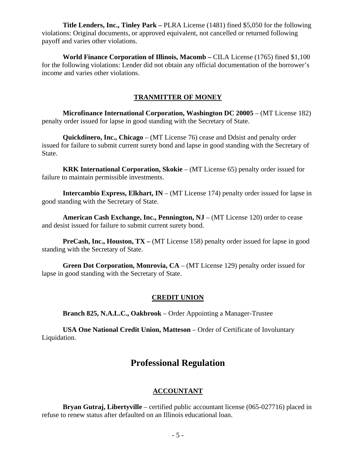**Title Lenders, Inc., Tinley Park –** PLRA License (1481) fined \$5,050 for the following violations: Original documents, or approved equivalent, not cancelled or returned following payoff and varies other violations.

 **World Finance Corporation of Illinois, Macomb –** CILA License (1765) fined \$1,100 for the following violations: Lender did not obtain any official documentation of the borrower's income and varies other violations.

# **TRANMITTER OF MONEY**

 **Microfinance International Corporation, Washington DC 20005** – (MT License 182) penalty order issued for lapse in good standing with the Secretary of State.

 **Quickdinero, Inc., Chicago** – (MT License 76) cease and Ddsist and penalty order issued for failure to submit current surety bond and lapse in good standing with the Secretary of State.

 **KRK International Corporation, Skokie** – (MT License 65) penalty order issued for failure to maintain permissible investments.

**Intercambio Express, Elkhart, IN** – (MT License 174) penalty order issued for lapse in good standing with the Secretary of State.

 **American Cash Exchange, Inc., Pennington, NJ** – (MT License 120) order to cease and desist issued for failure to submit current surety bond.

 **PreCash, Inc., Houston, TX –** (MT License 158) penalty order issued for lapse in good standing with the Secretary of State.

 **Green Dot Corporation, Monrovia, CA** – (MT License 129) penalty order issued for lapse in good standing with the Secretary of State.

# **CREDIT UNION**

 **Branch 825, N.A.L.C., Oakbrook** – Order Appointing a Manager-Trustee

 **USA One National Credit Union, Matteson** – Order of Certificate of Involuntary Liquidation.

# **Professional Regulation**

# **ACCOUNTANT**

 **Bryan Gutraj, Libertyville** – certified public accountant license (065-027716) placed in refuse to renew status after defaulted on an Illinois educational loan.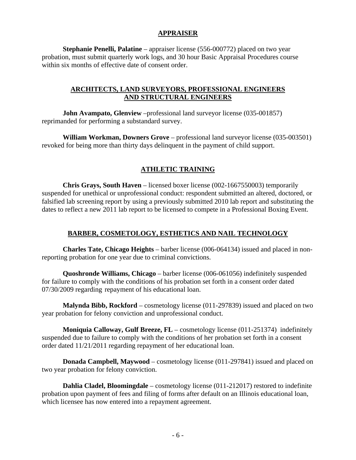# **APPRAISER**

 **Stephanie Penelli, Palatine** – appraiser license (556-000772) placed on two year probation, must submit quarterly work logs, and 30 hour Basic Appraisal Procedures course within six months of effective date of consent order.

# **ARCHITECTS, LAND SURVEYORS, PROFESSIONAL ENGINEERS AND STRUCTURAL ENGINEERS**

**John Avampato, Glenview** –professional land surveyor license (035-001857) reprimanded for performing a substandard survey.

 **William Workman, Downers Grove** – professional land surveyor license (035-003501) revoked for being more than thirty days delinquent in the payment of child support.

# **ATHLETIC TRAINING**

 **Chris Grays, South Haven** – licensed boxer license (002-1667550003) temporarily suspended for unethical or unprofessional conduct: respondent submitted an altered, doctored, or falsified lab screening report by using a previously submitted 2010 lab report and substituting the dates to reflect a new 2011 lab report to be licensed to compete in a Professional Boxing Event.

# **BARBER, COSMETOLOGY, ESTHETICS AND NAIL TECHNOLOGY**

 **Charles Tate, Chicago Heights** – barber license (006-064134) issued and placed in nonreporting probation for one year due to criminal convictions.

 **Quoshronde Williams, Chicago** – barber license (006-061056) indefinitely suspended for failure to comply with the conditions of his probation set forth in a consent order dated 07/30/2009 regarding repayment of his educational loan.

 **Malynda Bibb, Rockford** – cosmetology license (011-297839) issued and placed on two year probation for felony conviction and unprofessional conduct.

 **Moniquia Calloway, Gulf Breeze, FL** – cosmetology license (011-251374) indefinitely suspended due to failure to comply with the conditions of her probation set forth in a consent order dated 11/21/2011 regarding repayment of her educational loan.

**Donada Campbell, Maywood** – cosmetology license (011-297841) issued and placed on two year probation for felony conviction.

**Dahlia Cladel, Bloomingdale** – cosmetology license (011-212017) restored to indefinite probation upon payment of fees and filing of forms after default on an Illinois educational loan, which licensee has now entered into a repayment agreement.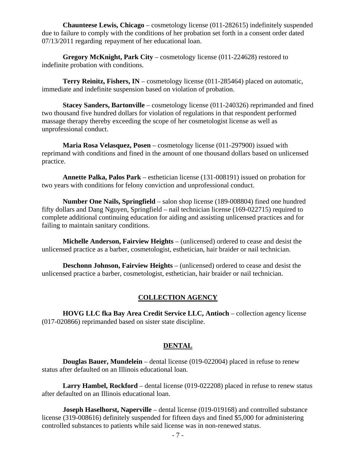**Chaunteese Lewis, Chicago** – cosmetology license (011-282615) indefinitely suspended due to failure to comply with the conditions of her probation set forth in a consent order dated 07/13/2011 regarding repayment of her educational loan.

 **Gregory McKnight, Park City** – cosmetology license (011-224628) restored to indefinite probation with conditions.

 **Terry Reinitz, Fishers, IN** – cosmetology license (011-285464) placed on automatic, immediate and indefinite suspension based on violation of probation.

 **Stacey Sanders, Bartonville** – cosmetology license (011-240326) reprimanded and fined two thousand five hundred dollars for violation of regulations in that respondent performed massage therapy thereby exceeding the scope of her cosmetologist license as well as unprofessional conduct.

 **Maria Rosa Velasquez, Posen** – cosmetology license (011-297900) issued with reprimand with conditions and fined in the amount of one thousand dollars based on unlicensed practice.

 **Annette Palka, Palos Park** – esthetician license (131-008191) issued on probation for two years with conditions for felony conviction and unprofessional conduct.

 **Number One Nails, Springfield** – salon shop license (189-008804) fined one hundred fifty dollars and Dang Nguyen, Springfield – nail technician license (169-022715) required to complete additional continuing education for aiding and assisting unlicensed practices and for failing to maintain sanitary conditions.

 **Michelle Anderson, Fairview Heights** – (unlicensed) ordered to cease and desist the unlicensed practice as a barber, cosmetologist, esthetician, hair braider or nail technician.

 **Deschonn Johnson, Fairview Heights** – (unlicensed) ordered to cease and desist the unlicensed practice a barber, cosmetologist, esthetician, hair braider or nail technician.

# **COLLECTION AGENCY**

 **HOVG LLC fka Bay Area Credit Service LLC, Antioch** – collection agency license (017-020866) reprimanded based on sister state discipline.

#### **DENTAL**

 **Douglas Bauer, Mundelein** – dental license (019-022004) placed in refuse to renew status after defaulted on an Illinois educational loan.

 **Larry Hambel, Rockford** – dental license (019-022208) placed in refuse to renew status after defaulted on an Illinois educational loan.

**Joseph Haselhorst, Naperville** – dental license (019-019168) and controlled substance license (319-008616) definitely suspended for fifteen days and fined \$5,000 for administering controlled substances to patients while said license was in non-renewed status.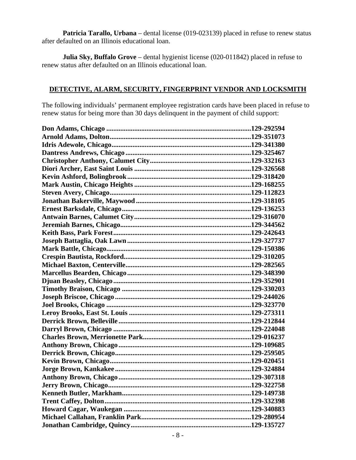**Patricia Tarallo, Urbana** – dental license (019-023139) placed in refuse to renew status after defaulted on an Illinois educational loan.

 **Julia Sky, Buffalo Grove** – dental hygienist license (020-011842) placed in refuse to renew status after defaulted on an Illinois educational loan.

# **DETECTIVE, ALARM, SECURITY, FINGERPRINT VENDOR AND LOCKSMITH**

The following individuals' permanent employee registration cards have been placed in refuse to renew status for being more than 30 days delinquent in the payment of child support: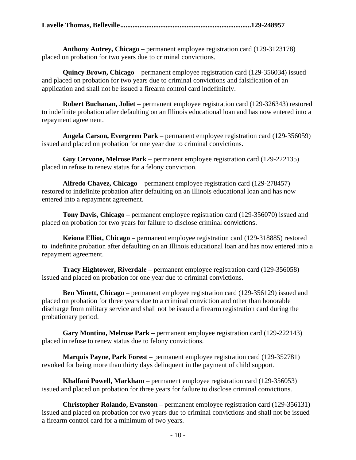|--|--|--|

 **Anthony Autrey, Chicago** – permanent employee registration card (129-3123178) placed on probation for two years due to criminal convictions.

 **Quincy Brown, Chicago** – permanent employee registration card (129-356034) issued and placed on probation for two years due to criminal convictions and falsification of an application and shall not be issued a firearm control card indefinitely.

 **Robert Buchanan, Joliet** – permanent employee registration card (129-326343) restored to indefinite probation after defaulting on an Illinois educational loan and has now entered into a repayment agreement.

**Angela Carson, Evergreen Park** – permanent employee registration card (129-356059) issued and placed on probation for one year due to criminal convictions.

 **Guy Cervone, Melrose Park** – permanent employee registration card (129-222135) placed in refuse to renew status for a felony conviction.

 **Alfredo Chavez, Chicago** – permanent employee registration card (129-278457) restored to indefinite probation after defaulting on an Illinois educational loan and has now entered into a repayment agreement.

 **Tony Davis, Chicago** – permanent employee registration card (129-356070) issued and placed on probation for two years for failure to disclose criminal convictions.

 **Keiona Elliot, Chicago** – permanent employee registration card (129-318885) restored to indefinite probation after defaulting on an Illinois educational loan and has now entered into a repayment agreement.

 **Tracy Hightower, Riverdale** – permanent employee registration card (129-356058) issued and placed on probation for one year due to criminal convictions.

 **Ben Minett, Chicago** – permanent employee registration card (129-356129) issued and placed on probation for three years due to a criminal conviction and other than honorable discharge from military service and shall not be issued a firearm registration card during the probationary period.

 **Gary Montino, Melrose Park** – permanent employee registration card (129-222143) placed in refuse to renew status due to felony convictions.

 **Marquis Payne, Park Forest** – permanent employee registration card (129-352781) revoked for being more than thirty days delinquent in the payment of child support.

 **Khalfani Powell, Markham** – permanent employee registration card (129-356053) issued and placed on probation for three years for failure to disclose criminal convictions.

 **Christopher Rolando, Evanston** – permanent employee registration card (129-356131) issued and placed on probation for two years due to criminal convictions and shall not be issued a firearm control card for a minimum of two years.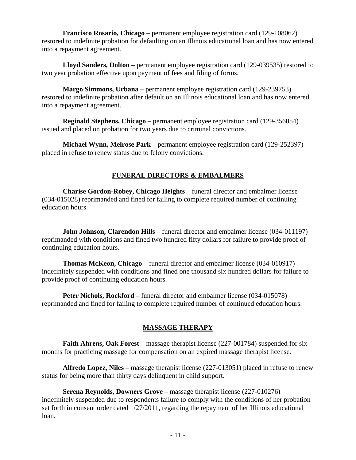**Francisco Rosario, Chicago** – permanent employee registration card (129-108062) restored to indefinite probation for defaulting on an Illinois educational loan and has now entered into a repayment agreement.

 **Lloyd Sanders, Dolton** – permanent employee registration card (129-039535) restored to two year probation effective upon payment of fees and filing of forms.

 **Margo Simmons, Urbana** – permanent employee registration card (129-239753) restored to indefinite probation after default on an Illinois educational loan and has now entered into a repayment agreement.

 **Reginald Stephens, Chicago** – permanent employee registration card (129-356054) issued and placed on probation for two years due to criminal convictions.

 **Michael Wynn, Melrose Park** – permanent employee registration card (129-252397) placed in refuse to renew status due to felony convictions.

# **FUNERAL DIRECTORS & EMBALMERS**

 **Charise Gordon-Robey, Chicago Heights** – funeral director and embalmer license (034-015028) reprimanded and fined for failing to complete required number of continuing education hours.

**John Johnson, Clarendon Hills** – funeral director and embalmer license (034-011197) reprimanded with conditions and fined two hundred fifty dollars for failure to provide proof of continuing education hours.

 **Thomas McKeon, Chicago** – funeral director and embalmer license (034-010917) indefinitely suspended with conditions and fined one thousand six hundred dollars for failure to provide proof of continuing education hours.

 **Peter Nichols, Rockford** – funeral director and embalmer license (034-015078) reprimanded and fined for failing to complete required number of continued education hours.

# **MASSAGE THERAPY**

 **Faith Ahrens, Oak Forest** – massage therapist license (227-001784) suspended for six months for practicing massage for compensation on an expired massage therapist license.

 **Alfredo Lopez, Niles** – massage therapist license (227-013051) placed in refuse to renew status for being more than thirty days delinquent in child support.

 **Serena Reynolds, Downers Grove** – massage therapist license (227-010276) indefinitely suspended due to respondents failure to comply with the conditions of her probation set forth in consent order dated 1/27/2011, regarding the repayment of her Illinois educational loan.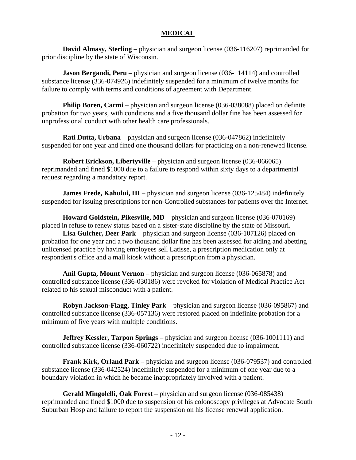# **MEDICAL**

 **David Almasy, Sterling** – physician and surgeon license (036-116207) reprimanded for prior discipline by the state of Wisconsin.

**Jason Bergandi, Peru** – physician and surgeon license (036-114114) and controlled substance license (336-074926) indefinitely suspended for a minimum of twelve months for failure to comply with terms and conditions of agreement with Department.

**Philip Boren, Carmi** – physician and surgeon license (036-038088) placed on definite probation for two years, with conditions and a five thousand dollar fine has been assessed for unprofessional conduct with other health care professionals.

 **Rati Dutta, Urbana** – physician and surgeon license (036-047862) indefinitely suspended for one year and fined one thousand dollars for practicing on a non-renewed license.

**Robert Erickson, Libertyville** – physician and surgeon license (036-066065) reprimanded and fined \$1000 due to a failure to respond within sixty days to a departmental request regarding a mandatory report.

**James Frede, Kahului, HI** – physician and surgeon license (036-125484) indefinitely suspended for issuing prescriptions for non-Controlled substances for patients over the Internet.

**Howard Goldstein, Pikesville, MD** – physician and surgeon license (036-070169) placed in refuse to renew status based on a sister-state discipline by the state of Missouri.

 **Lisa Gulcher, Deer Park** – physician and surgeon license (036-107126) placed on probation for one year and a two thousand dollar fine has been assessed for aiding and abetting unlicensed practice by having employees sell Latisse, a prescription medication only at respondent's office and a mall kiosk without a prescription from a physician.

 **Anil Gupta, Mount Vernon** – physician and surgeon license (036-065878) and controlled substance license (336-030186) were revoked for violation of Medical Practice Act related to his sexual misconduct with a patient.

 **Robyn Jackson-Flagg, Tinley Park** – physician and surgeon license (036-095867) and controlled substance license (336-057136) were restored placed on indefinite probation for a minimum of five years with multiple conditions.

**Jeffrey Kessler, Tarpon Springs** – physician and surgeon license (036-1001111) and controlled substance license (336-060722) indefinitely suspended due to impairment.

 **Frank Kirk, Orland Park** – physician and surgeon license (036-079537) and controlled substance license (336-042524) indefinitely suspended for a minimum of one year due to a boundary violation in which he became inappropriately involved with a patient.

 **Gerald Mingolelli, Oak Forest** – physician and surgeon license (036-085438) reprimanded and fined \$1000 due to suspension of his colonoscopy privileges at Advocate South Suburban Hosp and failure to report the suspension on his license renewal application.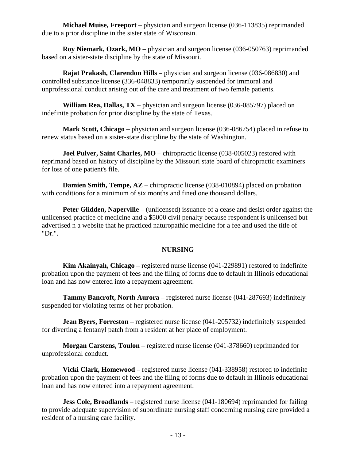**Michael Muise, Freeport** – physician and surgeon license (036-113835) reprimanded due to a prior discipline in the sister state of Wisconsin.

**Roy Niemark, Ozark, MO** – physician and surgeon license (036-050763) reprimanded based on a sister-state discipline by the state of Missouri.

 **Rajat Prakash, Clarendon Hills** – physician and surgeon license (036-086830) and controlled substance license (336-048833) temporarily suspended for immoral and unprofessional conduct arising out of the care and treatment of two female patients.

 **William Rea, Dallas, TX** – physician and surgeon license (036-085797) placed on indefinite probation for prior discipline by the state of Texas.

**Mark Scott, Chicago** – physician and surgeon license (036-086754) placed in refuse to renew status based on a sister-state discipline by the state of Washington.

**Joel Pulver, Saint Charles, MO** – chiropractic license (038-005023) restored with reprimand based on history of discipline by the Missouri state board of chiropractic examiners for loss of one patient's file.

**Damien Smith, Tempe, AZ** – chiropractic license (038-010894) placed on probation with conditions for a minimum of six months and fined one thousand dollars.

**Peter Glidden, Naperville** – (unlicensed) issuance of a cease and desist order against the unlicensed practice of medicine and a \$5000 civil penalty because respondent is unlicensed but advertised n a website that he practiced naturopathic medicine for a fee and used the title of "Dr.".

# **NURSING**

 **Kim Akainyah, Chicago** – registered nurse license (041-229891) restored to indefinite probation upon the payment of fees and the filing of forms due to default in Illinois educational loan and has now entered into a repayment agreement.

 **Tammy Bancroft, North Aurora** – registered nurse license (041-287693) indefinitely suspended for violating terms of her probation.

**Jean Byers, Forreston** – registered nurse license (041-205732) indefinitely suspended for diverting a fentanyl patch from a resident at her place of employment.

 **Morgan Carstens, Toulon** – registered nurse license (041-378660) reprimanded for unprofessional conduct.

 **Vicki Clark, Homewood** – registered nurse license (041-338958) restored to indefinite probation upon the payment of fees and the filing of forms due to default in Illinois educational loan and has now entered into a repayment agreement.

**Jess Cole, Broadlands** – registered nurse license (041-180694) reprimanded for failing to provide adequate supervision of subordinate nursing staff concerning nursing care provided a resident of a nursing care facility.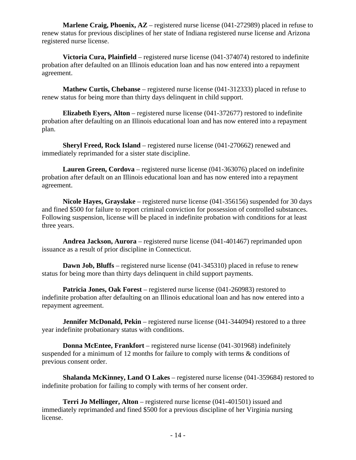**Marlene Craig, Phoenix, AZ** – registered nurse license (041-272989) placed in refuse to renew status for previous disciplines of her state of Indiana registered nurse license and Arizona registered nurse license.

 **Victoria Cura, Plainfield** – registered nurse license (041-374074) restored to indefinite probation after defaulted on an Illinois education loan and has now entered into a repayment agreement.

 **Mathew Curtis, Chebanse** – registered nurse license (041-312333) placed in refuse to renew status for being more than thirty days delinquent in child support.

 **Elizabeth Eyers, Alton** – registered nurse license (041-372677) restored to indefinite probation after defaulting on an Illinois educational loan and has now entered into a repayment plan.

**Sheryl Freed, Rock Island** – registered nurse license (041-270662) renewed and immediately reprimanded for a sister state discipline.

 **Lauren Green, Cordova** – registered nurse license (041-363076) placed on indefinite probation after default on an Illinois educational loan and has now entered into a repayment agreement.

 **Nicole Hayes, Grayslake** – registered nurse license (041-356156) suspended for 30 days and fined \$500 for failure to report criminal conviction for possession of controlled substances. Following suspension, license will be placed in indefinite probation with conditions for at least three years.

 **Andrea Jackson, Aurora** – registered nurse license (041-401467) reprimanded upon issuance as a result of prior discipline in Connecticut.

**Dawn Job, Bluffs** – registered nurse license (041-345310) placed in refuse to renew status for being more than thirty days delinquent in child support payments.

**Patricia Jones, Oak Forest** – registered nurse license (041-260983) restored to indefinite probation after defaulting on an Illinois educational loan and has now entered into a repayment agreement.

**Jennifer McDonald, Pekin** – registered nurse license (041-344094) restored to a three year indefinite probationary status with conditions.

 **Donna McEntee, Frankfort** – registered nurse license (041-301968) indefinitely suspended for a minimum of 12 months for failure to comply with terms & conditions of previous consent order.

 **Shalanda McKinney, Land O Lakes** – registered nurse license (041-359684) restored to indefinite probation for failing to comply with terms of her consent order.

 **Terri Jo Mellinger, Alton** – registered nurse license (041-401501) issued and immediately reprimanded and fined \$500 for a previous discipline of her Virginia nursing license.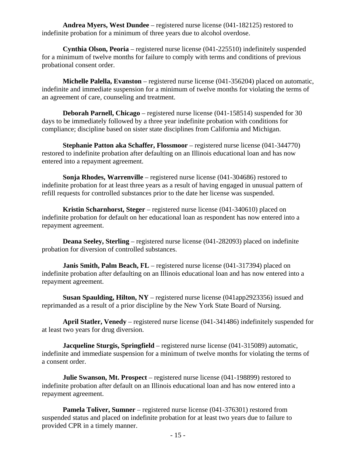**Andrea Myers, West Dundee** – registered nurse license (041-182125) restored to indefinite probation for a minimum of three years due to alcohol overdose.

**Cynthia Olson, Peoria** – registered nurse license (041-225510) indefinitely suspended for a minimum of twelve months for failure to comply with terms and conditions of previous probational consent order.

**Michelle Palella, Evanston** – registered nurse license (041-356204) placed on automatic, indefinite and immediate suspension for a minimum of twelve months for violating the terms of an agreement of care, counseling and treatment.

**Deborah Parnell, Chicago** – registered nurse license (041-158514) suspended for 30 days to be immediately followed by a three year indefinite probation with conditions for compliance; discipline based on sister state disciplines from California and Michigan.

**Stephanie Patton aka Schaffer, Flossmoor** – registered nurse license (041-344770) restored to indefinite probation after defaulting on an Illinois educational loan and has now entered into a repayment agreement.

**Sonja Rhodes, Warrenville** – registered nurse license (041-304686) restored to indefinite probation for at least three years as a result of having engaged in unusual pattern of refill requests for controlled substances prior to the date her license was suspended.

**Kristin Scharnhorst, Steger** – registered nurse license (041-340610) placed on indefinite probation for default on her educational loan as respondent has now entered into a repayment agreement.

**Deana Seeley, Sterling** – registered nurse license (041-282093) placed on indefinite probation for diversion of controlled substances.

**Janis Smith, Palm Beach, FL** – registered nurse license (041-317394) placed on indefinite probation after defaulting on an Illinois educational loan and has now entered into a repayment agreement.

**Susan Spaulding, Hilton, NY** – registered nurse license (041app2923356) issued and reprimanded as a result of a prior discipline by the New York State Board of Nursing.

**April Statler, Venedy** – registered nurse license (041-341486) indefinitely suspended for at least two years for drug diversion.

**Jacqueline Sturgis, Springfield** – registered nurse license (041-315089) automatic, indefinite and immediate suspension for a minimum of twelve months for violating the terms of a consent order.

**Julie Swanson, Mt. Prospect** – registered nurse license (041-198899) restored to indefinite probation after default on an Illinois educational loan and has now entered into a repayment agreement.

**Pamela Toliver, Sumner** – registered nurse license (041-376301) restored from suspended status and placed on indefinite probation for at least two years due to failure to provided CPR in a timely manner.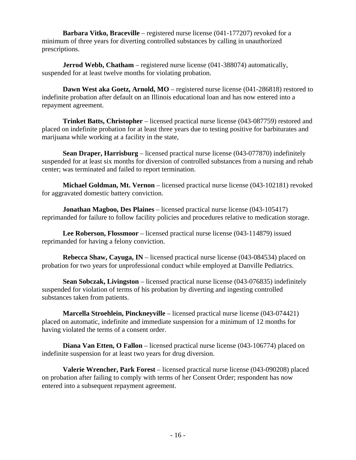**Barbara Vitko, Braceville** – registered nurse license (041-177207) revoked for a minimum of three years for diverting controlled substances by calling in unauthorized prescriptions.

**Jerrod Webb, Chatham** – registered nurse license (041-388074) automatically, suspended for at least twelve months for violating probation.

 **Dawn West aka Goetz, Arnold, MO** – registered nurse license (041-286818) restored to indefinite probation after default on an Illinois educational loan and has now entered into a repayment agreement.

 **Trinket Batts, Christopher** – licensed practical nurse license (043-087759) restored and placed on indefinite probation for at least three years due to testing positive for barbiturates and marijuana while working at a facility in the state,

**Sean Draper, Harrisburg** – licensed practical nurse license (043-077870) indefinitely suspended for at least six months for diversion of controlled substances from a nursing and rehab center; was terminated and failed to report termination.

 **Michael Goldman, Mt. Vernon** – licensed practical nurse license (043-102181) revoked for aggravated domestic battery conviction.

 **Jonathan Magboo, Des Plaines** – licensed practical nurse license (043-105417) reprimanded for failure to follow facility policies and procedures relative to medication storage.

 **Lee Roberson, Flossmoor** – licensed practical nurse license (043-114879) issued reprimanded for having a felony conviction.

 **Rebecca Shaw, Cayuga, IN** – licensed practical nurse license (043-084534) placed on probation for two years for unprofessional conduct while employed at Danville Pediatrics.

**Sean Sobczak, Livingston** – licensed practical nurse license (043-076835) indefinitely suspended for violation of terms of his probation by diverting and ingesting controlled substances taken from patients.

 **Marcella Stroehlein, Pinckneyville** – licensed practical nurse license (043-074421) placed on automatic, indefinite and immediate suspension for a minimum of 12 months for having violated the terms of a consent order.

**Diana Van Etten, O Fallon** – licensed practical nurse license (043-106774) placed on indefinite suspension for at least two years for drug diversion.

 **Valerie Wrencher, Park Forest** – licensed practical nurse license (043-090208) placed on probation after failing to comply with terms of her Consent Order; respondent has now entered into a subsequent repayment agreement.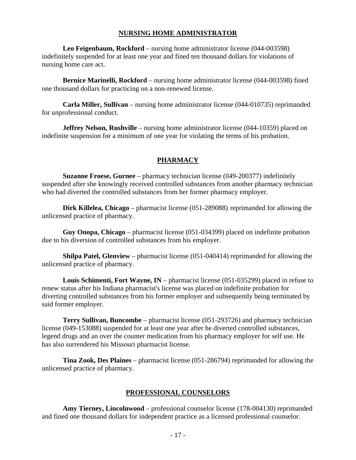#### **NURSING HOME ADMINISTRATOR**

 **Leo Feigenbaum, Rockford** – nursing home administrator license (044-003598) indefinitely suspended for at least one year and fined ten thousand dollars for violations of nursing home care act.

 **Bernice Marinelli, Rockford** – nursing home administrator license (044-003598) fined one thousand dollars for practicing on a non-renewed license.

**Carla Miller, Sullivan** – nursing home administrator license (044-010735) reprimanded for unprofessional conduct.

**Jeffrey Nelson, Rushville** – nursing home administrator license (044-10359) placed on indefinite suspension for a minimum of one year for violating the terms of his probation.

#### **PHARMACY**

 **Suzanne Froese, Gurnee** – pharmacy technician license (049-200377) indefinitely suspended after she knowingly received controlled substances from another pharmacy technician who had diverted the controlled substances from her former pharmacy employer.

 **Dirk Killelea, Chicago** – pharmacist license (051-289088) reprimanded for allowing the unlicensed practice of pharmacy.

 **Guy Onopa, Chicago** – pharmacist license (051-034399) placed on indefinite probation due to his diversion of controlled substances from his employer.

**Shilpa Patel, Glenview** – pharmacist license (051-040414) reprimanded for allowing the unlicensed practice of pharmacy.

 **Louis Schimenti, Fort Wayne, IN** – pharmacist license (051-035299) placed in refuse to renew status after his Indiana pharmacist's license was placed on indefinite probation for diverting controlled substances from his former employer and subsequently being terminated by said former employer.

 **Terry Sullivan, Buncombe** – pharmacist license (051-293726) and pharmacy technician license (049-153088) suspended for at least one year after he diverted controlled substances, legend drugs and an over the counter medication from his pharmacy employer for self use. He has also surrendered his Missouri pharmacist license.

 **Tina Zook, Des Plaines** – pharmacist license (051-286794) reprimanded for allowing the unlicensed practice of pharmacy.

#### **PROFESSIONAL COUNSELORS**

 **Amy Tierney, Lincolnwood** – professional counselor license (178-004130) reprimanded and fined one thousand dollars for independent practice as a licensed professional counselor.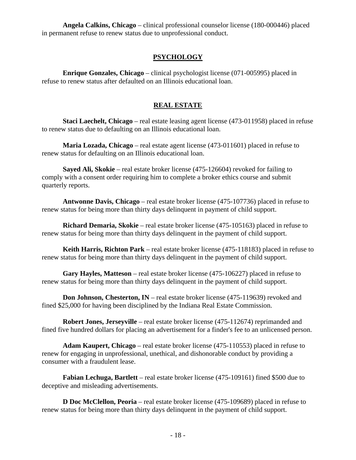**Angela Calkins, Chicago** – clinical professional counselor license (180-000446) placed in permanent refuse to renew status due to unprofessional conduct.

# **PSYCHOLOGY**

 **Enrique Gonzales, Chicago** – clinical psychologist license (071-005995) placed in refuse to renew status after defaulted on an Illinois educational loan.

# **REAL ESTATE**

 **Staci Laechelt, Chicago** – real estate leasing agent license (473-011958) placed in refuse to renew status due to defaulting on an Illinois educational loan.

 **Maria Lozada, Chicago** – real estate agent license (473-011601) placed in refuse to renew status for defaulting on an Illinois educational loan.

 **Sayed Ali, Skokie** – real estate broker license (475-126604) revoked for failing to comply with a consent order requiring him to complete a broker ethics course and submit quarterly reports.

 **Antwonne Davis, Chicago** – real estate broker license (475-107736) placed in refuse to renew status for being more than thirty days delinquent in payment of child support.

 **Richard Demaria, Skokie** – real estate broker license (475-105163) placed in refuse to renew status for being more than thirty days delinquent in the payment of child support.

 **Keith Harris, Richton Park** – real estate broker license (475-118183) placed in refuse to renew status for being more than thirty days delinquent in the payment of child support.

 **Gary Hayles, Matteson** – real estate broker license (475-106227) placed in refuse to renew status for being more than thirty days delinquent in the payment of child support.

**Don Johnson, Chesterton, IN** – real estate broker license (475-119639) revoked and fined \$25,000 for having been disciplined by the Indiana Real Estate Commission.

**Robert Jones, Jerseyville** – real estate broker license (475-112674) reprimanded and fined five hundred dollars for placing an advertisement for a finder's fee to an unlicensed person.

 **Adam Kaupert, Chicago** – real estate broker license (475-110553) placed in refuse to renew for engaging in unprofessional, unethical, and dishonorable conduct by providing a consumer with a fraudulent lease.

 **Fabian Lechuga, Bartlett** – real estate broker license (475-109161) fined \$500 due to deceptive and misleading advertisements.

 **D Doc McClellon, Peoria** – real estate broker license (475-109689) placed in refuse to renew status for being more than thirty days delinquent in the payment of child support.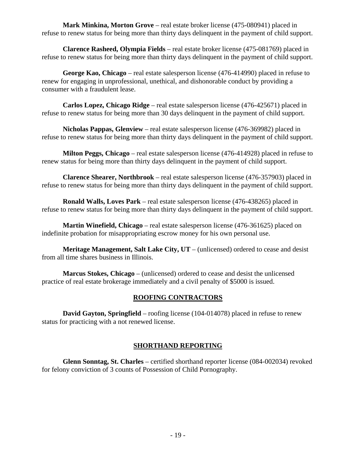**Mark Minkina, Morton Grove** – real estate broker license (475-080941) placed in refuse to renew status for being more than thirty days delinquent in the payment of child support.

 **Clarence Rasheed, Olympia Fields** – real estate broker license (475-081769) placed in refuse to renew status for being more than thirty days delinquent in the payment of child support.

 **George Kao, Chicago** – real estate salesperson license (476-414990) placed in refuse to renew for engaging in unprofessional, unethical, and dishonorable conduct by providing a consumer with a fraudulent lease.

 **Carlos Lopez, Chicago Ridge** – real estate salesperson license (476-425671) placed in refuse to renew status for being more than 30 days delinquent in the payment of child support.

 **Nicholas Pappas, Glenview** – real estate salesperson license (476-369982) placed in refuse to renew status for being more than thirty days delinquent in the payment of child support.

 **Milton Peggs, Chicago** – real estate salesperson license (476-414928) placed in refuse to renew status for being more than thirty days delinquent in the payment of child support.

 **Clarence Shearer, Northbrook** – real estate salesperson license (476-357903) placed in refuse to renew status for being more than thirty days delinquent in the payment of child support.

 **Ronald Walls, Loves Park** – real estate salesperson license (476-438265) placed in refuse to renew status for being more than thirty days delinquent in the payment of child support.

 **Martin Winefield, Chicago** – real estate salesperson license (476-361625) placed on indefinite probation for misappropriating escrow money for his own personal use.

**Meritage Management, Salt Lake City, UT** – (unlicensed) ordered to cease and desist from all time shares business in Illinois.

 **Marcus Stokes, Chicago** – (unlicensed) ordered to cease and desist the unlicensed practice of real estate brokerage immediately and a civil penalty of \$5000 is issued.

# **ROOFING CONTRACTORS**

**David Gayton, Springfield** – roofing license (104-014078) placed in refuse to renew status for practicing with a not renewed license.

# **SHORTHAND REPORTING**

 **Glenn Sonntag, St. Charles** – certified shorthand reporter license (084-002034) revoked for felony conviction of 3 counts of Possession of Child Pornography.